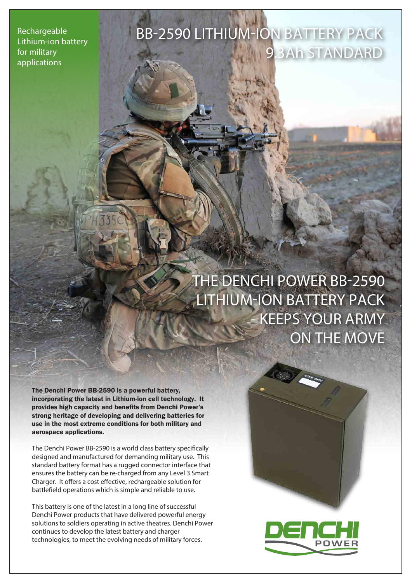**Rechargeable Lithium-ion battery for military applications**

# **BB-2590 LITHIUM-ION BATTERY PACK** 9.3Ah STANDARD

**THE DENCHI POWER BB-2590 LITHIUM-ION BATTERY PACK - KEEPS YOUR ARMY ON THE MOVE**

The Denchi Power BB-2590 is a powerful battery, incorporating the latest in Lithium-ion cell technology. It provides high capacity and benefits from Denchi Power's strong heritage of developing and delivering batteries for use in the most extreme conditions for both military and aerospace applications.

The Denchi Power BB-2590 is a world class battery specifically designed and manufactured for demanding military use. This standard battery format has a rugged connector interface that ensures the battery can be re-charged from any Level 3 Smart Charger. It offers a cost effective, rechargeable solution for battlefield operations which is simple and reliable to use.

This battery is one of the latest in a long line of successful Denchi Power products that have delivered powerful energy solutions to soldiers operating in active theatres. Denchi Power continues to develop the latest battery and charger technologies, to meet the evolving needs of military forces.